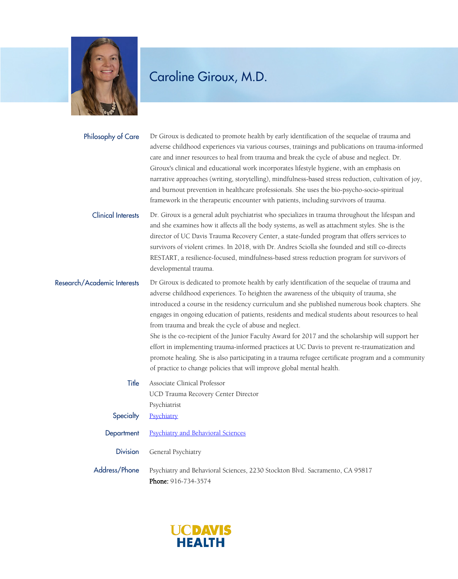

| Philosophy of Care          | Dr Giroux is dedicated to promote health by early identification of the sequelae of trauma and<br>adverse childhood experiences via various courses, trainings and publications on trauma-informed<br>care and inner resources to heal from trauma and break the cycle of abuse and neglect. Dr.<br>Giroux's clinical and educational work incorporates lifestyle hygiene, with an emphasis on<br>narrative approaches (writing, storytelling), mindfulness-based stress reduction, cultivation of joy,<br>and burnout prevention in healthcare professionals. She uses the bio-psycho-socio-spiritual<br>framework in the therapeutic encounter with patients, including survivors of trauma.                                                                                                                                                |
|-----------------------------|-----------------------------------------------------------------------------------------------------------------------------------------------------------------------------------------------------------------------------------------------------------------------------------------------------------------------------------------------------------------------------------------------------------------------------------------------------------------------------------------------------------------------------------------------------------------------------------------------------------------------------------------------------------------------------------------------------------------------------------------------------------------------------------------------------------------------------------------------|
| <b>Clinical Interests</b>   | Dr. Giroux is a general adult psychiatrist who specializes in trauma throughout the lifespan and<br>and she examines how it affects all the body systems, as well as attachment styles. She is the<br>director of UC Davis Trauma Recovery Center, a state-funded program that offers services to<br>survivors of violent crimes. In 2018, with Dr. Andres Sciolla she founded and still co-directs<br>RESTART, a resilience-focused, mindfulness-based stress reduction program for survivors of<br>developmental trauma.                                                                                                                                                                                                                                                                                                                    |
| Research/Academic Interests | Dr Giroux is dedicated to promote health by early identification of the sequelae of trauma and<br>adverse childhood experiences. To heighten the awareness of the ubiquity of trauma, she<br>introduced a course in the residency curriculum and she published numerous book chapters. She<br>engages in ongoing education of patients, residents and medical students about resources to heal<br>from trauma and break the cycle of abuse and neglect.<br>She is the co-recipient of the Junior Faculty Award for 2017 and the scholarship will support her<br>effort in implementing trauma-informed practices at UC Davis to prevent re-traumatization and<br>promote healing. She is also participating in a trauma refugee certificate program and a community<br>of practice to change policies that will improve global mental health. |
| Title                       | Associate Clinical Professor                                                                                                                                                                                                                                                                                                                                                                                                                                                                                                                                                                                                                                                                                                                                                                                                                  |
|                             | UCD Trauma Recovery Center Director                                                                                                                                                                                                                                                                                                                                                                                                                                                                                                                                                                                                                                                                                                                                                                                                           |
|                             | Psychiatrist                                                                                                                                                                                                                                                                                                                                                                                                                                                                                                                                                                                                                                                                                                                                                                                                                                  |
| Specialty                   | Psychiatry                                                                                                                                                                                                                                                                                                                                                                                                                                                                                                                                                                                                                                                                                                                                                                                                                                    |
| Department                  | <b>Psychiatry and Behavioral Sciences</b>                                                                                                                                                                                                                                                                                                                                                                                                                                                                                                                                                                                                                                                                                                                                                                                                     |
| <b>Division</b>             | General Psychiatry                                                                                                                                                                                                                                                                                                                                                                                                                                                                                                                                                                                                                                                                                                                                                                                                                            |
| Address/Phone               | Psychiatry and Behavioral Sciences, 2230 Stockton Blvd. Sacramento, CA 95817<br>Phone: 916-734-3574                                                                                                                                                                                                                                                                                                                                                                                                                                                                                                                                                                                                                                                                                                                                           |

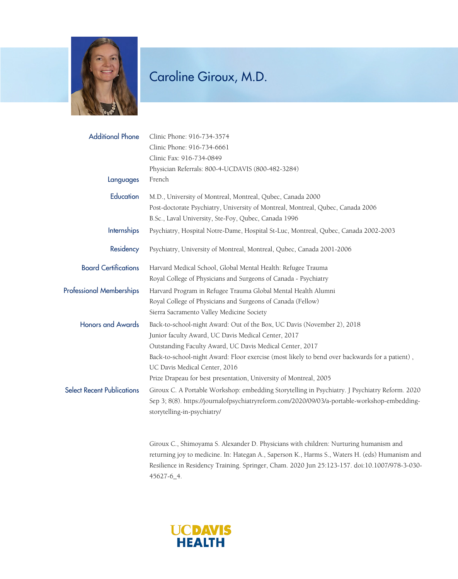

| <b>Additional Phone</b>           | Clinic Phone: 916-734-3574                                                                                                  |
|-----------------------------------|-----------------------------------------------------------------------------------------------------------------------------|
|                                   | Clinic Phone: 916-734-6661                                                                                                  |
|                                   | Clinic Fax: 916-734-0849                                                                                                    |
|                                   | Physician Referrals: 800-4-UCDAVIS (800-482-3284)                                                                           |
| Languages                         | French                                                                                                                      |
| Education                         | M.D., University of Montreal, Montreal, Qubec, Canada 2000                                                                  |
|                                   | Post-doctorate Psychiatry, University of Montreal, Montreal, Qubec, Canada 2006                                             |
|                                   | B.Sc., Laval University, Ste-Foy, Qubec, Canada 1996                                                                        |
| <b>Internships</b>                | Psychiatry, Hospital Notre-Dame, Hospital St-Luc, Montreal, Qubec, Canada 2002-2003                                         |
| Residency                         | Psychiatry, University of Montreal, Montreal, Qubec, Canada 2001-2006                                                       |
| <b>Board Certifications</b>       | Harvard Medical School, Global Mental Health: Refugee Trauma                                                                |
|                                   | Royal College of Physicians and Surgeons of Canada - Psychiatry                                                             |
| <b>Professional Memberships</b>   | Harvard Program in Refugee Trauma Global Mental Health Alumni                                                               |
|                                   | Royal College of Physicians and Surgeons of Canada (Fellow)                                                                 |
|                                   | Sierra Sacramento Valley Medicine Society                                                                                   |
| <b>Honors and Awards</b>          | Back-to-school-night Award: Out of the Box, UC Davis (November 2), 2018                                                     |
|                                   | Junior faculty Award, UC Davis Medical Center, 2017                                                                         |
|                                   | Outstanding Faculty Award, UC Davis Medical Center, 2017                                                                    |
|                                   | Back-to-school-night Award: Floor exercise (most likely to bend over backwards for a patient),                              |
|                                   | UC Davis Medical Center, 2016                                                                                               |
|                                   | Prize Drapeau for best presentation, University of Montreal, 2005                                                           |
| <b>Select Recent Publications</b> | Giroux C. A Portable Workshop: embedding Storytelling in Psychiatry. J Psychiatry Reform. 2020                              |
|                                   | Sep 3; 8(8). https://journalofpsychiatryreform.com/2020/09/03/a-portable-workshop-embedding-<br>storytelling-in-psychiatry/ |
|                                   |                                                                                                                             |

Giroux C., Shimoyama S. Alexander D. Physicians with children: Nurturing humanism and returning joy to medicine. In: Hategan A., Saperson K., Harms S., Waters H. (eds) Humanism and Resilience in Residency Training. Springer, Cham. 2020 Jun 25:123-157. doi:10.1007/978-3-030- 45627-6\_4.

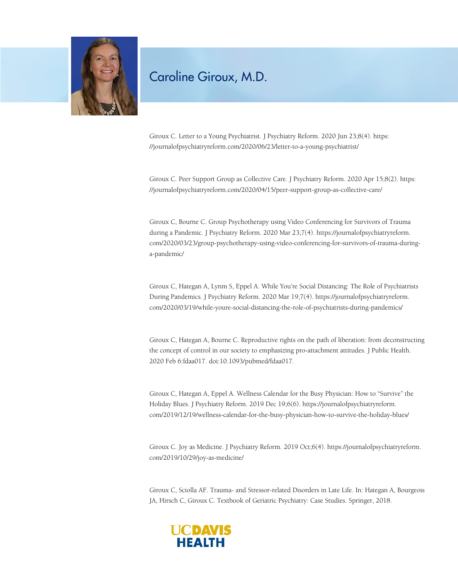

Giroux C. Letter to a Young Psychiatrist. J Psychiatry Reform. 2020 Jun 23;8(4). https: //journalofpsychiatryreform.com/2020/06/23/letter-to-a-young-psychiatrist/

Giroux C. Peer Support Group as Collective Care. J Psychiatry Reform. 2020 Apr 15;8(2). https: //journalofpsychiatryreform.com/2020/04/15/peer-support-group-as-collective-care/

Giroux C, Bourne C. Group Psychotherapy using Video Conferencing for Survivors of Trauma during a Pandemic. J Psychiatry Reform. 2020 Mar 23;7(4). https://journalofpsychiatryreform. com/2020/03/23/group-psychotherapy-using-video-conferencing-for-survivors-of-trauma-duringa-pandemic/

Giroux C, Hategan A, Lynm S, Eppel A. While You're Social Distancing: The Role of Psychiatrists During Pandemics. J Psychiatry Reform. 2020 Mar 19;7(4). https://journalofpsychiatryreform. com/2020/03/19/while-youre-social-distancing-the-role-of-psychiatrists-during-pandemics/

Giroux C, Hategan A, Bourne C. Reproductive rights on the path of liberation: from deconstructing the concept of control in our society to emphasizing pro-attachment attitudes. J Public Health. 2020 Feb 6:fdaa017. doi:10.1093/pubmed/fdaa017.

Giroux C, Hategan A, Eppel A. Wellness Calendar for the Busy Physician: How to "Survive" the Holiday Blues. J Psychiatry Reform. 2019 Dec 19;6(6). https://journalofpsychiatryreform. com/2019/12/19/wellness-calendar-for-the-busy-physician-how-to-survive-the-holiday-blues/

Giroux C. Joy as Medicine. J Psychiatry Reform. 2019 Oct;6(4). https://journalofpsychiatryreform. com/2019/10/29/joy-as-medicine/

Giroux C, Sciolla AF. Trauma- and Stressor-related Disorders in Late Life. In: Hategan A, Bourgeois JA, Hirsch C, Giroux C. Textbook of Geriatric Psychiatry: Case Studies. Springer, 2018.